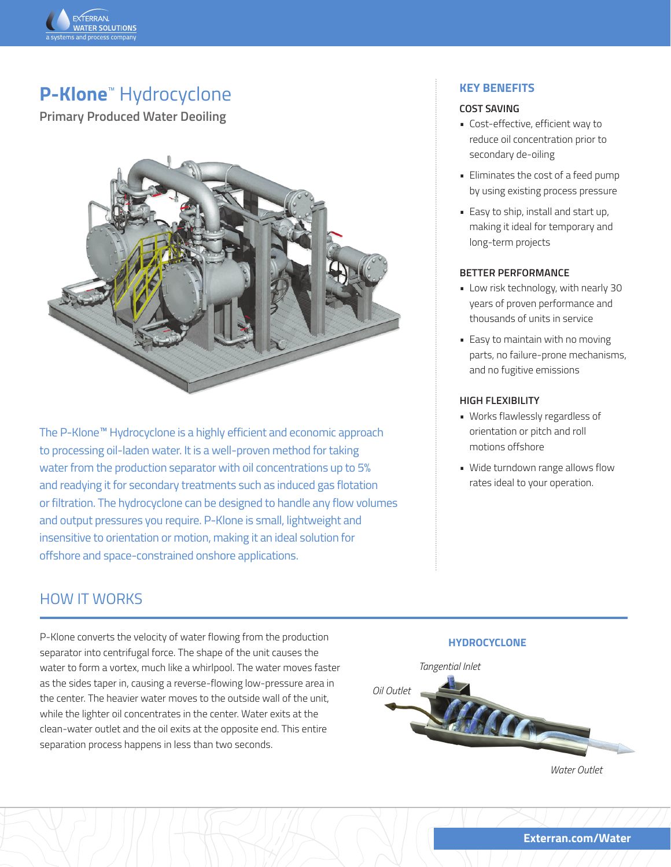

# **P-Klone**™ Hydrocyclone

**Primary Produced Water Deoiling**



The P-Klone™ Hydrocyclone is a highly efficient and economic approach to processing oil-laden water. It is a well-proven method for taking water from the production separator with oil concentrations up to 5% and readying it for secondary treatments such as induced gas flotation or filtration. The hydrocyclone can be designed to handle any flow volumes and output pressures you require. P-Klone is small, lightweight and insensitive to orientation or motion, making it an ideal solution for offshore and space-constrained onshore applications.

## **KEY BENEFITS**

#### **COST SAVING**

- Cost-effective, efficient way to reduce oil concentration prior to secondary de-oiling
- Eliminates the cost of a feed pump by using existing process pressure
- Easy to ship, install and start up, making it ideal for temporary and long-term projects

#### **BETTER PERFORMANCE**

- Low risk technology, with nearly 30 years of proven performance and thousands of units in service
- Easy to maintain with no moving parts, no failure-prone mechanisms, and no fugitive emissions

#### **HIGH FLEXIBILITY**

- Works flawlessly regardless of orientation or pitch and roll motions offshore
- Wide turndown range allows flow rates ideal to your operation.

# HOW IT WORKS

P-Klone converts the velocity of water flowing from the production separator into centrifugal force. The shape of the unit causes the water to form a vortex, much like a whirlpool. The water moves faster as the sides taper in, causing a reverse-flowing low-pressure area in the center. The heavier water moves to the outside wall of the unit, while the lighter oil concentrates in the center. Water exits at the clean-water outlet and the oil exits at the opposite end. This entire separation process happens in less than two seconds.

## **HYDROCYCLONE**

#### *Tangential Inlet*



*Water Outlet*